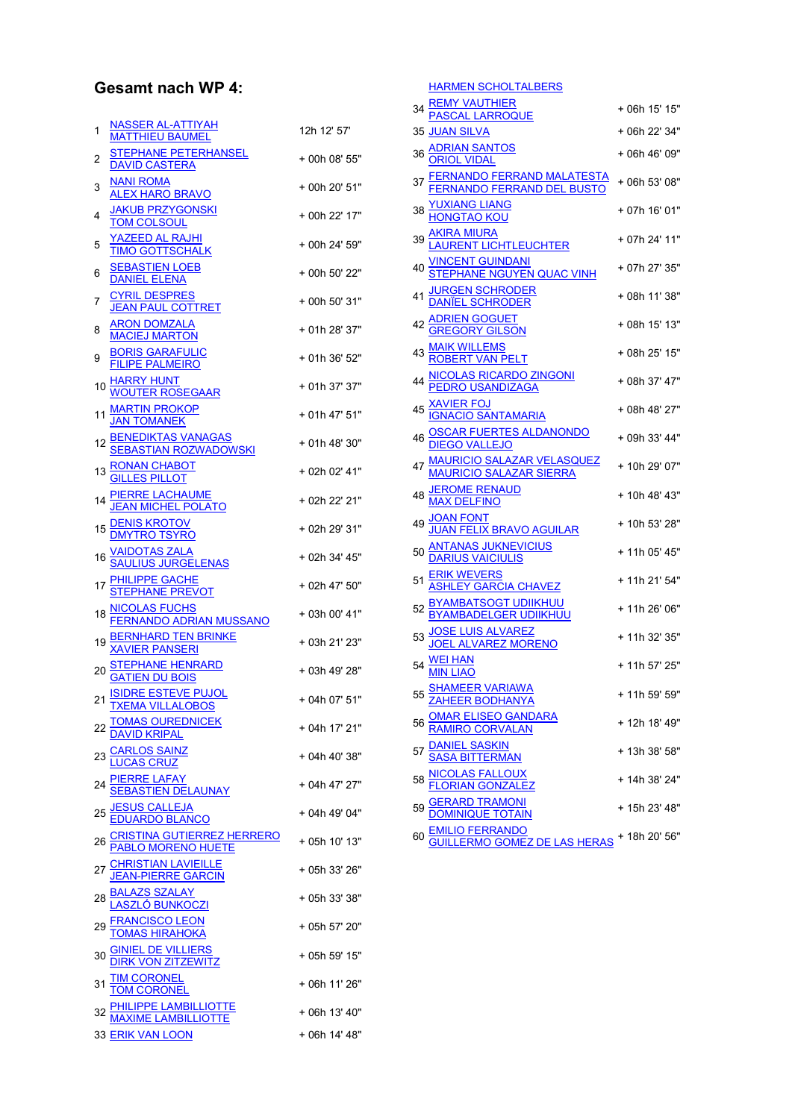## Gesamt nach WP 4:

| 1  | <u>NASSER AL-ATTIYAH</u><br><b>MATTHIEU BAUMEL</b>                                                                                                  | 12h 12' 57'   |
|----|-----------------------------------------------------------------------------------------------------------------------------------------------------|---------------|
| 2  | STEPHANE PETERHANSEL<br><b>DAVID CASTERA</b>                                                                                                        | + 00h 08' 55" |
| 3  | <b>NANI ROMA</b><br><b>ALEX HARO BRAVO</b>                                                                                                          | + 00h 20' 51" |
| 4  | <b>JAKUB PRZYGONSKI</b><br><b>TOM COLSOUL</b>                                                                                                       | + 00h 22' 17" |
| 5  | <b>YAZEED AL RAJHI</b><br><b>TIMO GOTTSCHALK</b>                                                                                                    | + 00h 24' 59" |
| 6  | <u>SEBASTIEN LOEB</u><br><b>DANIEL ELENA</b>                                                                                                        | + 00h 50' 22" |
| 7  | <b>CYRIL DESPRES</b><br><b>JEAN PAUL COTTRET</b>                                                                                                    | + 00h 50' 31" |
| 8  | <b>ARON DOMZALA</b><br><b>MACIEJ MARTON</b>                                                                                                         | + 01h 28' 37" |
| 9  | <b>BORIS GARAFULIC</b><br><b>FILIPE PALMEIRO</b>                                                                                                    | + 01h 36' 52" |
| 10 | <b>HARRY HUNT</b><br><b>WOUTER ROSEGAAR</b>                                                                                                         | + 01h 37' 37" |
| 11 | <b>MARTIN PROKOP</b><br>JAN TOMANEK                                                                                                                 | + 01h 47' 51" |
| 12 | <u>BENEDIKTAS VANAGAS</u><br><u>SEBASTIAN ROZWADOWSKI</u>                                                                                           | + 01h 48' 30" |
| 13 | RONAN CHABOT<br>GILLES PILLOT                                                                                                                       | + 02h 02' 41" |
| 14 | <b>PIERRE LACHAUME</b><br>JEAN MICHEL POLATO                                                                                                        | + 02h 22' 21" |
| 15 | <u>DENIS KROTOV</u><br>DMYTRO TSYRO                                                                                                                 | + 02h 29' 31" |
|    | 16 <u>VAIDOTAS ZALA</u><br>SA <u>ULIUS JURGELENAS</u>                                                                                               | + 02h 34' 45" |
| 17 | <b>PHILIPPE GACHE</b><br>STEPHANE PREVOT                                                                                                            | + 02h 47' 50" |
| 18 | NICOLAS FUCHS<br>F <u>ERNANDO ADRIAN MUSSANO</u>                                                                                                    | + 03h 00' 41" |
| 19 | <u>BERNHARD TEN BRINKE</u><br>XAVIER PANSERI                                                                                                        | + 03h 21' 23" |
| 20 | STEPHANE HENRARD<br>GATIEN DU BOIS                                                                                                                  | + 03h 49' 28" |
| 21 | <u>ISIDRE ESTEVE PUJOL</u><br><u>TXEMA VILLALOBOS</u>                                                                                               | + 04h 07' 51" |
|    |                                                                                                                                                     | + 04h 17' 21" |
|    | 22 <u>TOMAS OUREDNICEK</u><br>DAVID KRIPAL<br>23 <u>CARLOS SAINZ</u><br>LUCAS CRUZ                                                                  | + 04h 40' 38" |
|    | 24 PIERRE LAFAY<br>SEBASTIEN DELAUNAY                                                                                                               | + 04h 47' 27" |
|    | 25 <u>JESUS CALLEJA</u><br><u>EDUARDO BLANCO</u>                                                                                                    | + 04h 49' 04" |
|    | 26 <u>CRISTINA GUTIERREZ HERRERO</u><br>PABLO MORENO HUETE<br>27 <u>CHRISTIAN LAVIEILLE</u><br><u>JEAN-PIERRE GARCIN</u><br>28 <u>BALAZS SZALAY</u> | + 05h 10' 13" |
|    |                                                                                                                                                     | + 05h 33' 26" |
|    |                                                                                                                                                     | + 05h 33' 38" |
| 29 | <b>FRANCISCO LEON<br/>TOMAS HIRAHOKA</b>                                                                                                            | + 05h 57' 20" |
| 30 | <b>GINIEL DE VILLIERS<br/>DIRK VON ZITZEWITZ</b>                                                                                                    | + 05h 59' 15" |
| 31 |                                                                                                                                                     | + 06h 11' 26" |
|    | <u>TIM CORONEL</u><br><u>TOM CORONEL</u><br><u>PHILIPPE LAMBILLIOTTE</u><br>MAXIME LAMBILLIOTTE                                                     | + 06h 13' 40" |
|    | 33 ERIK VAN LOON                                                                                                                                    | + 06h 14' 48" |

|    | <u>HARMEN SCHOLTALBERS</u>                                                                                                                                 |               |
|----|------------------------------------------------------------------------------------------------------------------------------------------------------------|---------------|
|    | <u>REMY VAUTHIER</u><br><u>PASCAL LARROQUE</u>                                                                                                             | + 06h 15' 15" |
|    | 35 <u>JUAN SILVA</u>                                                                                                                                       | + 06h 22' 34" |
| 36 | <u>ADRIAN SANTOS</u><br>ORIOL VIDAL                                                                                                                        | + 06h 46' 09" |
|    | <u>FERNANDO FERRAND MALATESTA</u><br><u>FERNANDO FERRAND DEL BUSTO</u>                                                                                     | + 06h 53' 08" |
|    | <b>YUXIANG LIANG</b><br>HONGTAO KOU                                                                                                                        | + 07h 16' 01" |
| 39 | AKIRA MIURA<br>LAURENT LICHTLEUCHTER<br><u>VINCENT GUINDANI</u><br>STEPHANE NGUYEN QUAC VINH<br>JURGEN SCHRODER<br>DANÏEL SCHRODER                         | + 07h 24' 11" |
| 40 |                                                                                                                                                            | + 07h 27' 35" |
| 41 |                                                                                                                                                            | + 08h 11' 38" |
|    | ADRIEN GOGUET<br>GREGORY GILSON                                                                                                                            | + 08h 15' 13" |
|    |                                                                                                                                                            | + 08h 25' 15" |
|    | 43<br><u>MAIK WILLEMS<br/> 44 NICOLAS RICARDO ZINGONI</u><br>45 <u>NAVIER FOJ</u><br>5 <u>NAVIER FOJ</u><br>5 NAVIER FOJ<br>45 NAVIER FOJ<br>45 NAVIER POJ | + 08h 37' 47" |
|    |                                                                                                                                                            | + 08h 48' 27" |
| 46 |                                                                                                                                                            | + 09h 33' 44" |
|    | MAURICIO SALAZAR VELASQUEZ<br>MAURICIO SALAZAR SIERRA                                                                                                      | + 10h 29' 07" |
| 48 | <u>JEROME RENAUD</u><br><u>MAX DELFINO</u>                                                                                                                 | + 10h 48' 43" |
| 49 | <u>JOAN FONT</u><br>JUAN FELIX BRAVO AGUILAR<br>ANTANAS JUKNEVICIUS<br>DARIUS VAICIULIS                                                                    | + 10h 53' 28" |
| 50 |                                                                                                                                                            | + 11h 05' 45" |
| 51 | <u>ERIK WEVERS</u><br>ASHLEY GARCIA CHAVEZ                                                                                                                 | + 11h 21' 54" |
|    | <b>BYAMBATSOGT UDIIKHUU</b><br>BYAMBADELGER UDIIKHUU                                                                                                       | + 11h 26' 06" |
| 53 | <u>JOSE LUIS ALVAREZ</u><br>JOEL ALVAREZ MORENO                                                                                                            | + 11h 32' 35" |
| 54 | <u>WEI HAN</u><br><mark>MIN LIAO</mark>                                                                                                                    | + 11h 57' 25" |
|    | 55 <u>SHAMEER VARIAWA</u><br>56 <u>CMAR ELISEO GANDARA</u><br>56 <u>RAMIRO CORVALAN</u><br>57 <u>SASA BITTERMAN</u><br>57 <u>SASA BITTERMAN</u>            | + 11h 59' 59" |
|    |                                                                                                                                                            | + 12h 18' 49" |
|    |                                                                                                                                                            | + 13h 38' 58" |
| 58 | NICOLAS FALLOUX<br>FLORIAN GONZALEZ                                                                                                                        | + 14h 38' 24" |
| 59 | <b>GERARD TRAMONI</b><br>DO <u>MINIQUE TOTAIN</u>                                                                                                          | + 15h 23' 48" |
| 60 | <u>.IO FERRANDO</u><br>LLERMO GOME <u>Z DE LAS HERAS</u> <sup>+ 18h</sup> 20' 56"                                                                          |               |